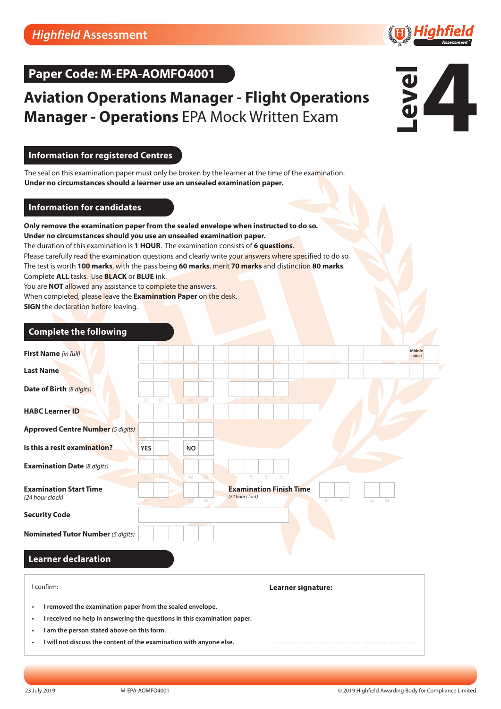

## **4 Aviation Operations Manager - Flight Operations Manager - Operations** EPA Mock Written Exam

#### **Information for registered Centres**

The seal on this examination paper must only be broken by the learner at the time of the examination. **Under no circumstances should a learner use an unsealed examination paper.**

#### **Information for candidates**

#### **Only remove the examination paper from the sealed envelope when instructed to do so. Under no circumstances should you use an unsealed examination paper.** The duration of this examination is **1 HOUR**. The examination consists of **6 questions**. Please carefully read the examination questions and clearly write your answers where specified to do so. The test is worth **100 marks**, with the pass being **60 marks**, merit **70 marks** and distinction **80 marks**. Complete **ALL** tasks. Use **BLACK** or **BLUE** ink. You are **NOT** allowed any assistance to complete the answers. When completed, please leave the **Examination Paper** on the desk. **SIGN** the declaration before leaving.

#### **Complete the following**

| First Name (in full)                                                                  |            |           |                                                   |                    | Middle<br>initial |
|---------------------------------------------------------------------------------------|------------|-----------|---------------------------------------------------|--------------------|-------------------|
| <b>Last Name</b>                                                                      |            |           |                                                   |                    |                   |
| Date of Birth (8 digits)                                                              |            |           |                                                   |                    |                   |
| <b>HABC Learner ID</b>                                                                | D<br>D     | M.<br>M   | Y<br>Y                                            |                    |                   |
| <b>Approved Centre Number (5 digits)</b>                                              |            |           |                                                   |                    |                   |
| Is this a resit examination?                                                          | <b>YES</b> | <b>NO</b> |                                                   |                    |                   |
| <b>Examination Date (8 digits)</b>                                                    | D.<br>Đ.   | M<br>M    | V<br>v                                            |                    |                   |
| <b>Examination Start Time</b><br>(24 hour clock)                                      | Ħ          | M         | <b>Examination Finish Time</b><br>(24 hour clock) |                    |                   |
| <b>Security Code</b>                                                                  |            |           |                                                   |                    |                   |
| <b>Nominated Tutor Number (5 digits)</b>                                              |            |           |                                                   |                    |                   |
| <b>Learner declaration</b>                                                            |            |           |                                                   |                    |                   |
| I confirm:                                                                            |            |           |                                                   | Learner signature: |                   |
| I removed the examination paper from the sealed envelope.<br>$\bullet$                |            |           |                                                   |                    |                   |
| I received no help in answering the questions in this examination paper.<br>$\bullet$ |            |           |                                                   |                    |                   |
| I am the person stated above on this form.<br>٠                                       |            |           |                                                   |                    |                   |
| I will not discuss the content of the examination with anyone else.                   |            |           |                                                   |                    |                   |



**Level**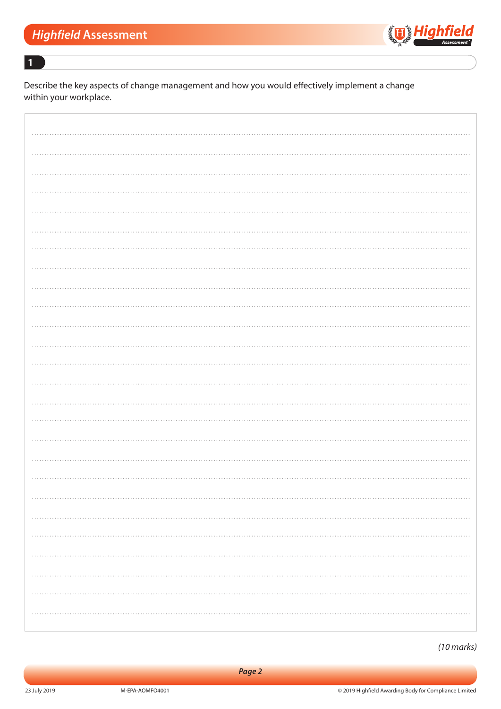

Describe the key aspects of change management and how you would effectively implement a change within your workplace.

| $\cdots$ |
|----------|
|          |
|          |
|          |
|          |
|          |
|          |
|          |
| .<br>.   |
|          |
| $\cdots$ |
| $\cdots$ |
|          |
|          |
|          |
| $\cdots$ |
|          |
|          |
|          |
|          |
|          |
|          |
|          |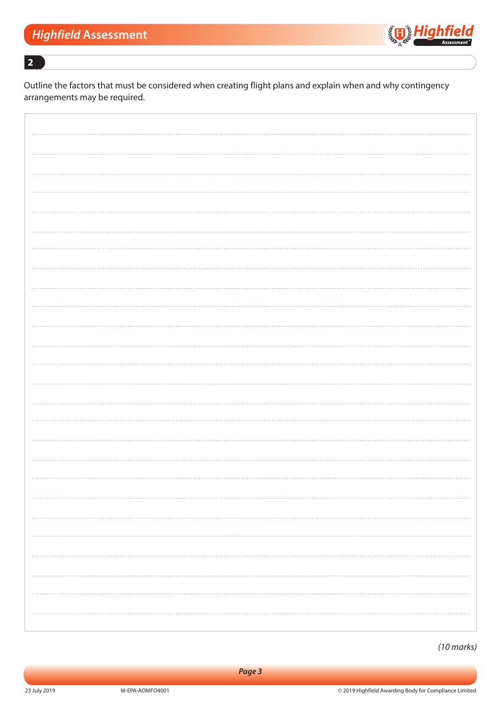

Outline the factors that must be considered when creating flight plans and explain when and why contingency arrangements may be required.

| $\cdots$ |
|----------|
| $\cdots$ |
|          |
|          |
|          |
|          |
|          |
|          |
| .        |
|          |
|          |
| $\cdots$ |
|          |
|          |
|          |
|          |
|          |
|          |
|          |
|          |
|          |
|          |
|          |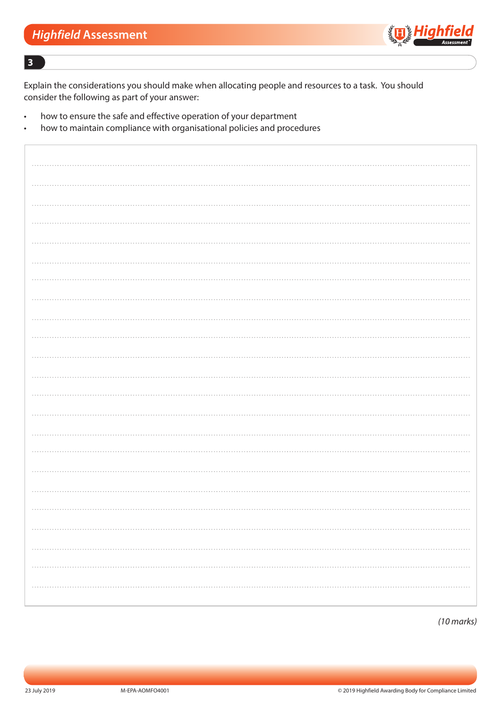

#### **3**

Explain the considerations you should make when allocating people and resources to a task. You should consider the following as part of your answer:

- how to ensure the safe and effective operation of your department
- how to maintain compliance with organisational policies and procedures

| $\cdots\cdots\cdots$ |
|----------------------|
|                      |
|                      |
|                      |
|                      |
|                      |
|                      |
|                      |
|                      |
|                      |
| .                    |
|                      |
|                      |
|                      |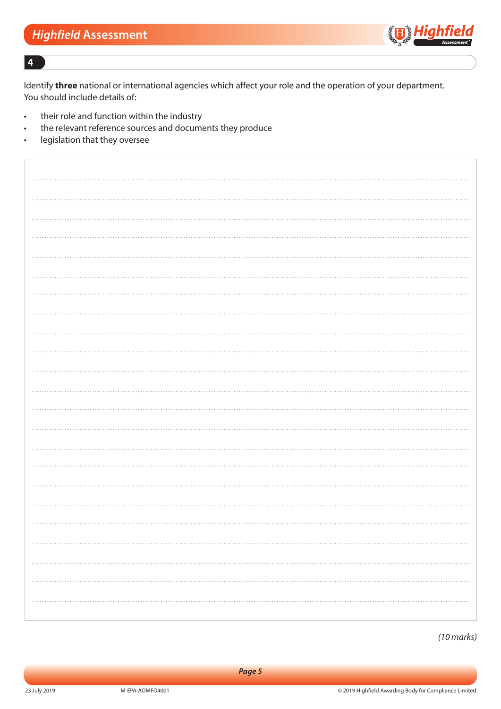

Identify **three** national or international agencies which affect your role and the operation of your department. You should include details of:

- their role and function within the industry
- the relevant reference sources and documents they produce
- legislation that they oversee

| $\cdots$ |
|----------|
|          |
|          |
| .        |
|          |
|          |
|          |
|          |
|          |
|          |
|          |
|          |
| .        |
|          |
|          |
|          |
|          |

*Page 5*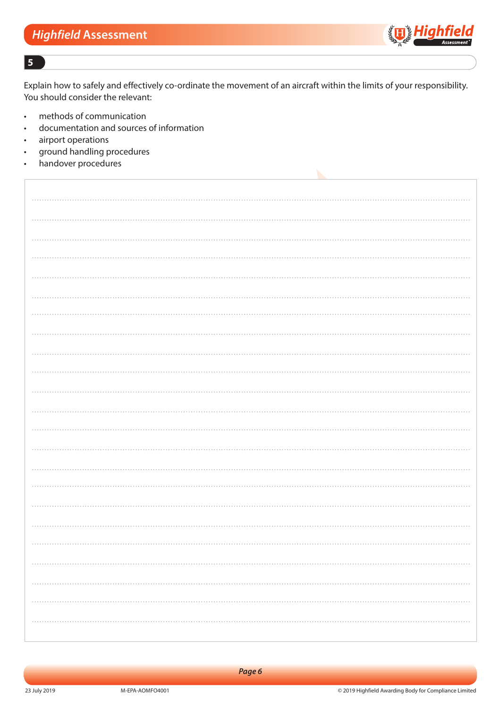

Explain how to safely and effectively co-ordinate the movement of an aircraft within the limits of your responsibility. You should consider the relevant:

- methods of communication
- documentation and sources of information
- airport operations
- ground handling procedures
- handover procedures

| . |
|---|
|   |
|   |
|   |
|   |
|   |
|   |
|   |
|   |
|   |
|   |
|   |
|   |
|   |
|   |
|   |
|   |
|   |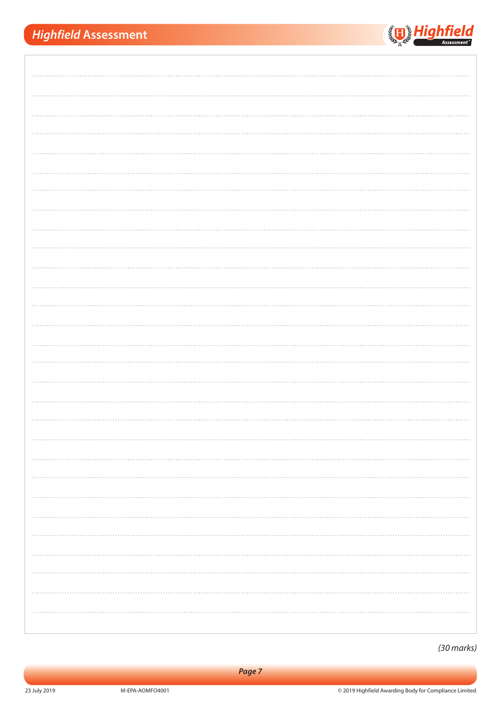

*(30 marks)*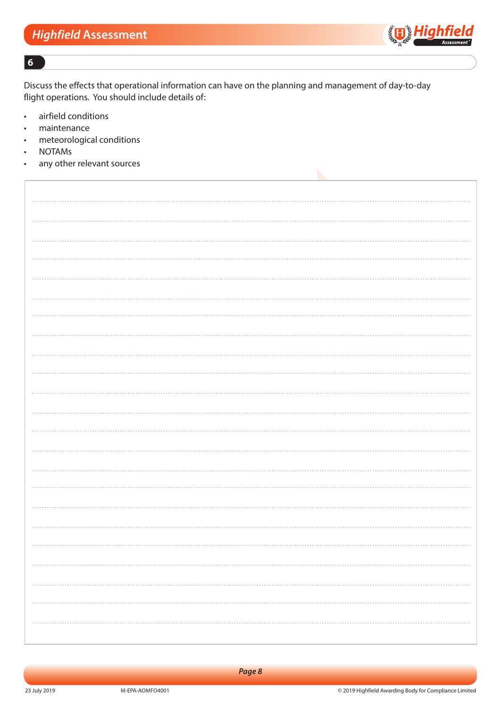

Discuss the effects that operational information can have on the planning and management of day-to-day flight operations. You should include details of:

- airfield conditions
- maintenance
- meteorological conditions
- NOTAMs
- any other relevant sources

| . |
|---|
|   |
|   |
|   |
|   |
|   |
|   |
|   |
|   |
|   |
|   |
|   |
|   |
|   |
|   |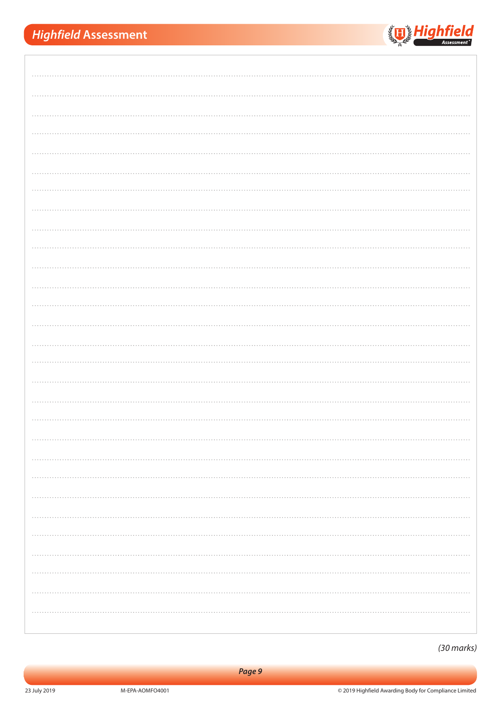

*(30 marks)*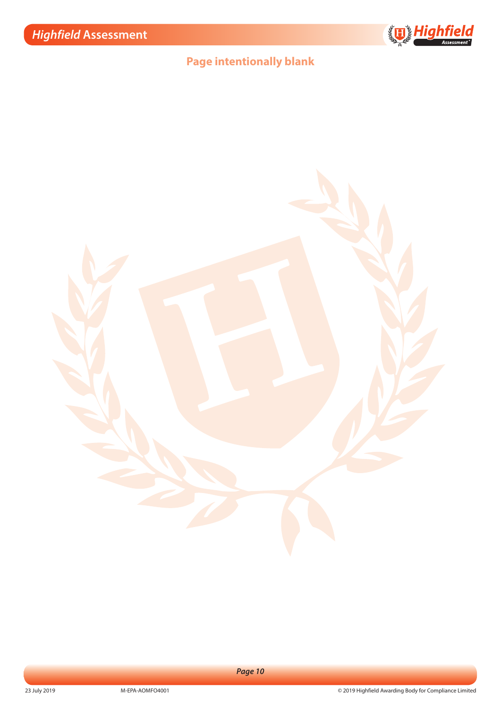

## **Page intentionally blank**

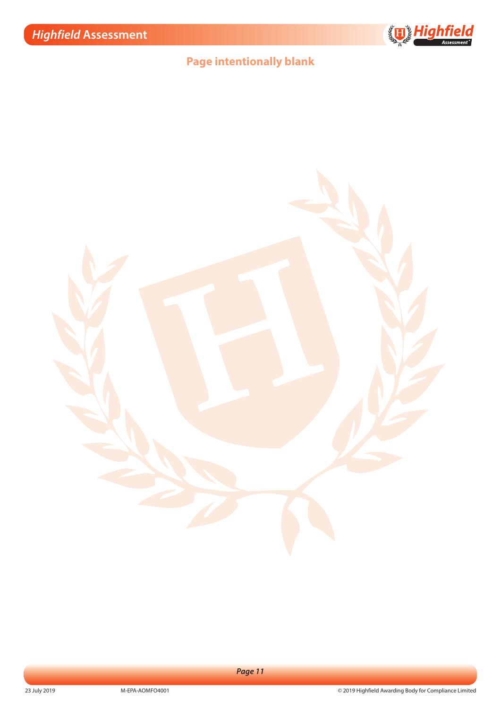

## **Page intentionally blank**



*Page 11*